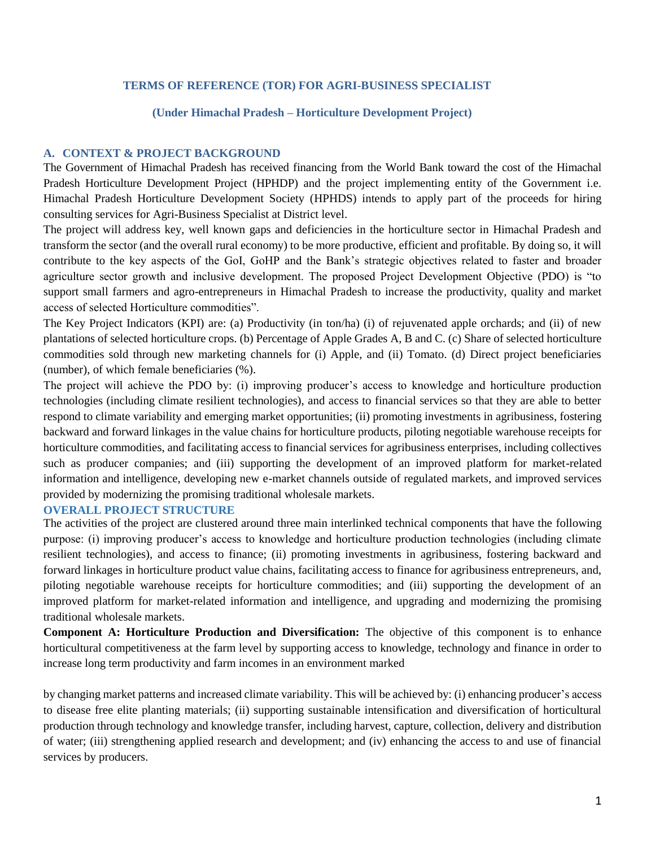### **TERMS OF REFERENCE (TOR) FOR AGRI-BUSINESS SPECIALIST**

#### **(Under Himachal Pradesh – Horticulture Development Project)**

## **A. CONTEXT & PROJECT BACKGROUND**

The Government of Himachal Pradesh has received financing from the World Bank toward the cost of the Himachal Pradesh Horticulture Development Project (HPHDP) and the project implementing entity of the Government i.e. Himachal Pradesh Horticulture Development Society (HPHDS) intends to apply part of the proceeds for hiring consulting services for Agri-Business Specialist at District level.

The project will address key, well known gaps and deficiencies in the horticulture sector in Himachal Pradesh and transform the sector (and the overall rural economy) to be more productive, efficient and profitable. By doing so, it will contribute to the key aspects of the GoI, GoHP and the Bank's strategic objectives related to faster and broader agriculture sector growth and inclusive development. The proposed Project Development Objective (PDO) is "to support small farmers and agro-entrepreneurs in Himachal Pradesh to increase the productivity, quality and market access of selected Horticulture commodities".

The Key Project Indicators (KPI) are: (a) Productivity (in ton/ha) (i) of rejuvenated apple orchards; and (ii) of new plantations of selected horticulture crops. (b) Percentage of Apple Grades A, B and C. (c) Share of selected horticulture commodities sold through new marketing channels for (i) Apple, and (ii) Tomato. (d) Direct project beneficiaries (number), of which female beneficiaries (%).

The project will achieve the PDO by: (i) improving producer's access to knowledge and horticulture production technologies (including climate resilient technologies), and access to financial services so that they are able to better respond to climate variability and emerging market opportunities; (ii) promoting investments in agribusiness, fostering backward and forward linkages in the value chains for horticulture products, piloting negotiable warehouse receipts for horticulture commodities, and facilitating access to financial services for agribusiness enterprises, including collectives such as producer companies; and (iii) supporting the development of an improved platform for market-related information and intelligence, developing new e-market channels outside of regulated markets, and improved services provided by modernizing the promising traditional wholesale markets.

### **OVERALL PROJECT STRUCTURE**

The activities of the project are clustered around three main interlinked technical components that have the following purpose: (i) improving producer's access to knowledge and horticulture production technologies (including climate resilient technologies), and access to finance; (ii) promoting investments in agribusiness, fostering backward and forward linkages in horticulture product value chains, facilitating access to finance for agribusiness entrepreneurs, and, piloting negotiable warehouse receipts for horticulture commodities; and (iii) supporting the development of an improved platform for market-related information and intelligence, and upgrading and modernizing the promising traditional wholesale markets.

**Component A: Horticulture Production and Diversification:** The objective of this component is to enhance horticultural competitiveness at the farm level by supporting access to knowledge, technology and finance in order to increase long term productivity and farm incomes in an environment marked

by changing market patterns and increased climate variability. This will be achieved by: (i) enhancing producer's access to disease free elite planting materials; (ii) supporting sustainable intensification and diversification of horticultural production through technology and knowledge transfer, including harvest, capture, collection, delivery and distribution of water; (iii) strengthening applied research and development; and (iv) enhancing the access to and use of financial services by producers.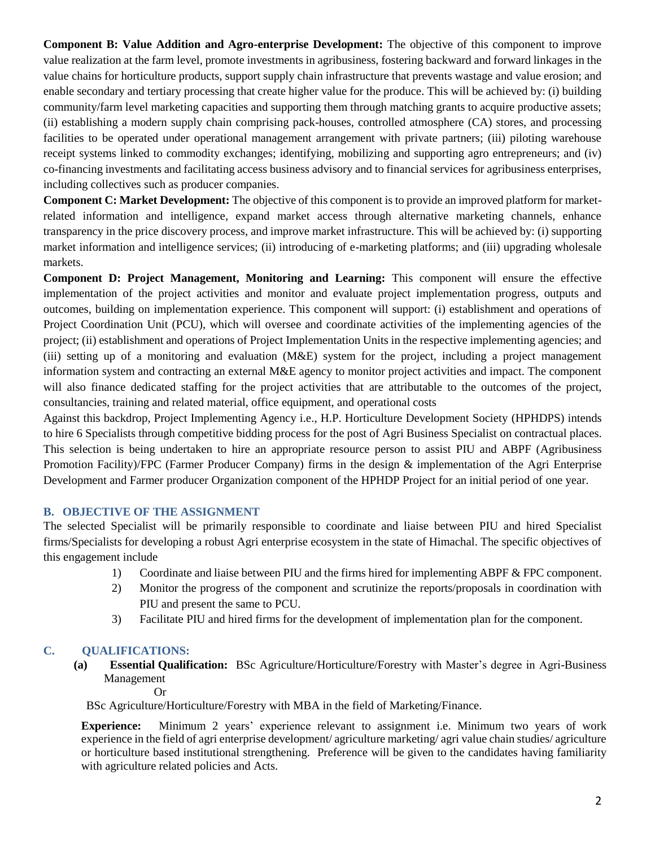**Component B: Value Addition and Agro-enterprise Development:** The objective of this component to improve value realization at the farm level, promote investments in agribusiness, fostering backward and forward linkages in the value chains for horticulture products, support supply chain infrastructure that prevents wastage and value erosion; and enable secondary and tertiary processing that create higher value for the produce. This will be achieved by: (i) building community/farm level marketing capacities and supporting them through matching grants to acquire productive assets; (ii) establishing a modern supply chain comprising pack-houses, controlled atmosphere (CA) stores, and processing facilities to be operated under operational management arrangement with private partners; (iii) piloting warehouse receipt systems linked to commodity exchanges; identifying, mobilizing and supporting agro entrepreneurs; and (iv) co-financing investments and facilitating access business advisory and to financial services for agribusiness enterprises, including collectives such as producer companies.

**Component C: Market Development:** The objective of this component is to provide an improved platform for marketrelated information and intelligence, expand market access through alternative marketing channels, enhance transparency in the price discovery process, and improve market infrastructure. This will be achieved by: (i) supporting market information and intelligence services; (ii) introducing of e-marketing platforms; and (iii) upgrading wholesale markets.

**Component D: Project Management, Monitoring and Learning:** This component will ensure the effective implementation of the project activities and monitor and evaluate project implementation progress, outputs and outcomes, building on implementation experience. This component will support: (i) establishment and operations of Project Coordination Unit (PCU), which will oversee and coordinate activities of the implementing agencies of the project; (ii) establishment and operations of Project Implementation Units in the respective implementing agencies; and (iii) setting up of a monitoring and evaluation (M&E) system for the project, including a project management information system and contracting an external M&E agency to monitor project activities and impact. The component will also finance dedicated staffing for the project activities that are attributable to the outcomes of the project, consultancies, training and related material, office equipment, and operational costs

Against this backdrop, Project Implementing Agency i.e., H.P. Horticulture Development Society (HPHDPS) intends to hire 6 Specialists through competitive bidding process for the post of Agri Business Specialist on contractual places. This selection is being undertaken to hire an appropriate resource person to assist PIU and ABPF (Agribusiness Promotion Facility)/FPC (Farmer Producer Company) firms in the design & implementation of the Agri Enterprise Development and Farmer producer Organization component of the HPHDP Project for an initial period of one year.

# **B. OBJECTIVE OF THE ASSIGNMENT**

The selected Specialist will be primarily responsible to coordinate and liaise between PIU and hired Specialist firms/Specialists for developing a robust Agri enterprise ecosystem in the state of Himachal. The specific objectives of this engagement include

- 1) Coordinate and liaise between PIU and the firms hired for implementing ABPF & FPC component.
- 2) Monitor the progress of the component and scrutinize the reports/proposals in coordination with PIU and present the same to PCU.
- 3) Facilitate PIU and hired firms for the development of implementation plan for the component.

# **C. QUALIFICATIONS:**

**(a) Essential Qualification:** BSc Agriculture/Horticulture/Forestry with Master's degree in Agri-Business Management

Or

BSc Agriculture/Horticulture/Forestry with MBA in the field of Marketing/Finance.

**Experience:** Minimum 2 years' experience relevant to assignment i.e. Minimum two years of work experience in the field of agri enterprise development/ agriculture marketing/ agri value chain studies/ agriculture or horticulture based institutional strengthening. Preference will be given to the candidates having familiarity with agriculture related policies and Acts.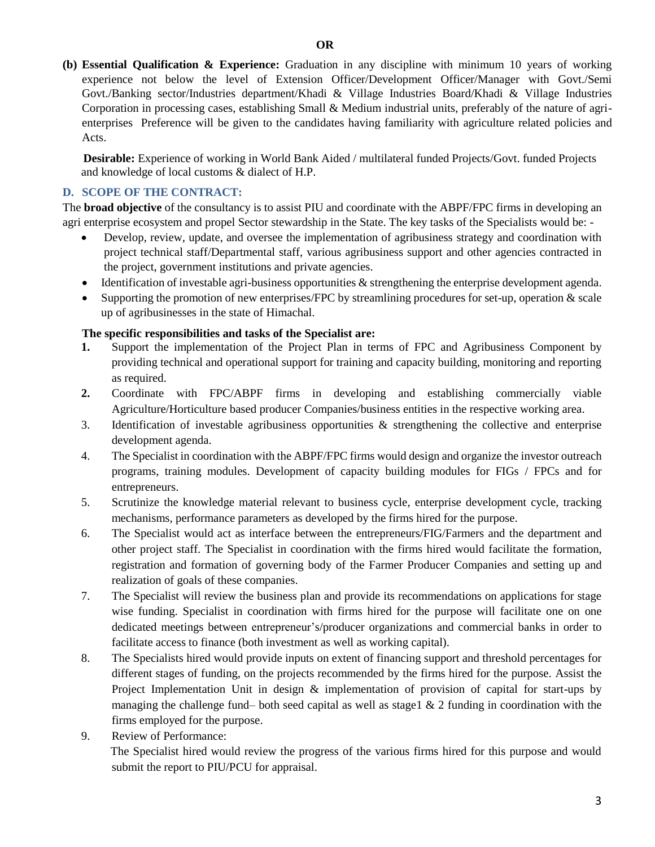**(b) Essential Qualification & Experience:** Graduation in any discipline with minimum 10 years of working experience not below the level of Extension Officer/Development Officer/Manager with Govt./Semi Govt./Banking sector/Industries department/Khadi & Village Industries Board/Khadi & Village Industries Corporation in processing cases, establishing Small & Medium industrial units, preferably of the nature of agrienterprises Preference will be given to the candidates having familiarity with agriculture related policies and Acts.

 **Desirable:** Experience of working in World Bank Aided / multilateral funded Projects/Govt. funded Projects and knowledge of local customs & dialect of H.P.

# **D. SCOPE OF THE CONTRACT:**

The **broad objective** of the consultancy is to assist PIU and coordinate with the ABPF/FPC firms in developing an agri enterprise ecosystem and propel Sector stewardship in the State. The key tasks of the Specialists would be: -

- Develop, review, update, and oversee the implementation of agribusiness strategy and coordination with project technical staff/Departmental staff, various agribusiness support and other agencies contracted in the project, government institutions and private agencies.
- Identification of investable agri-business opportunities & strengthening the enterprise development agenda.
- $\bullet$  Supporting the promotion of new enterprises/FPC by streamlining procedures for set-up, operation  $\&$  scale up of agribusinesses in the state of Himachal.

## **The specific responsibilities and tasks of the Specialist are:**

- **1.** Support the implementation of the Project Plan in terms of FPC and Agribusiness Component by providing technical and operational support for training and capacity building, monitoring and reporting as required.
- **2.** Coordinate with FPC/ABPF firms in developing and establishing commercially viable Agriculture/Horticulture based producer Companies/business entities in the respective working area.
- 3. Identification of investable agribusiness opportunities & strengthening the collective and enterprise development agenda.
- 4. The Specialist in coordination with the ABPF/FPC firms would design and organize the investor outreach programs, training modules. Development of capacity building modules for FIGs / FPCs and for entrepreneurs.
- 5. Scrutinize the knowledge material relevant to business cycle, enterprise development cycle, tracking mechanisms, performance parameters as developed by the firms hired for the purpose.
- 6. The Specialist would act as interface between the entrepreneurs/FIG/Farmers and the department and other project staff. The Specialist in coordination with the firms hired would facilitate the formation, registration and formation of governing body of the Farmer Producer Companies and setting up and realization of goals of these companies.
- 7. The Specialist will review the business plan and provide its recommendations on applications for stage wise funding. Specialist in coordination with firms hired for the purpose will facilitate one on one dedicated meetings between entrepreneur's/producer organizations and commercial banks in order to facilitate access to finance (both investment as well as working capital).
- 8. The Specialists hired would provide inputs on extent of financing support and threshold percentages for different stages of funding, on the projects recommended by the firms hired for the purpose. Assist the Project Implementation Unit in design & implementation of provision of capital for start-ups by managing the challenge fund– both seed capital as well as stage1  $\&$  2 funding in coordination with the firms employed for the purpose.
- 9. Review of Performance: The Specialist hired would review the progress of the various firms hired for this purpose and would submit the report to PIU/PCU for appraisal.